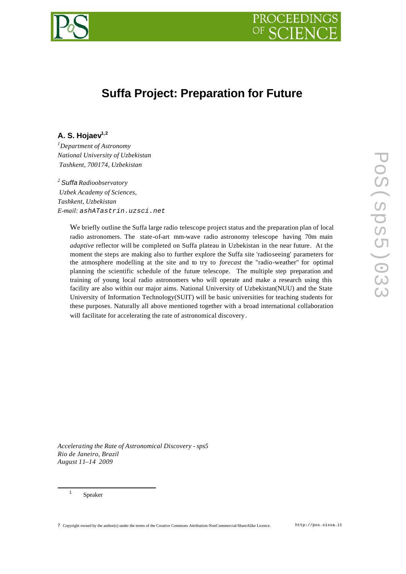



# **Suffa Project: Preparation for Future**

# **A. S. Hojaev1,2**

*<sup>1</sup>Department of Astronomy National University of Uzbekistan Tashkent, 700174, Uzbekistan*

*<sup>2</sup> Suffa Radioobservatory Uzbek Academy of Sciences, Tashkent, Uzbekistan E-mail: ashATastrin.uzsci.net*

> We briefly outline the Suffa large radio telescope project status and the preparation plan of local radio astronomers. The state-of-art mm-wave radio astronomy telescope having 70m main *adaptive* reflector will be completed on Suffa plateau in Uzbekistan in the near future. At the moment the steps are making also to further explore the Suffa site 'radioseeing' parameters for the atmosphere modelling at the site and to try to *forecast* the "radio-weather" for optimal planning the scientific schedule of the future telescope. The multiple step preparation and training of young local radio astronomers who will operate and make a research using this facility are also within our major aims. National University of Uzbekistan(NUU) and the State University of Information Technology(SUIT) will be basic universities for teaching students for these purposes. Naturally all above mentioned together with a broad international collaboration will facilitate for accelerating the rate of astronomical discovery.

*Accelerating the Rate of Astronomical Discovery - sps5 Rio de Janeiro, Brazil August 11–14 2009*

Speaker

l 1

? Copyright owned by the author(s) under the terms of the Creative Commons Attribution-NonCommercial-ShareAlike Licence. http://pos.sissa.it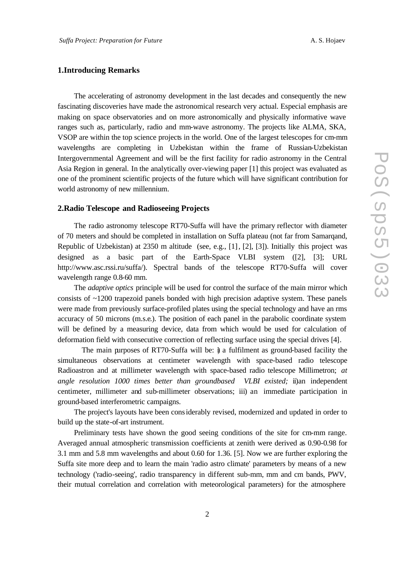## **1.Introducing Remarks**

The accelerating of astronomy development in the last decades and consequently the new fascinating discoveries have made the astronomical research very actual. Especial emphasis are making on space observatories and on more astronomically and physically informative wave ranges such as, particularly, radio and mm-wave astronomy. The projects like ALMA, SKA, VSOP are within the top science projects in the world. One of the largest telescopes for cm-mm wavelengths are completing in Uzbekistan within the frame of Russian-Uzbekistan Intergovernmental Agreement and will be the first facility for radio astronomy in the Central Asia Region in general. In the analytically over-viewing paper [1] this project was evaluated as one of the prominent scientific projects of the future which will have significant contribution for world astronomy of new millennium.

#### **2.Radio Telescope and Radioseeing Projects**

The radio astronomy telescope RT70-Suffa will have the primary reflector with diameter of 70 meters and should be completed in installation on Suffa plateau (not far from Samarqand, Republic of Uzbekistan) at 2350 m altitude (see, e.g., [1], [2], [3]). Initially this project was designed as a basic part of the Earth-Space VLBI system ([2], [3]; URL http://www.asc.rssi.ru/suffa/). Spectral bands of the telescope RT70-Suffa will cover wavelength range 0.8-60 mm.

The *adaptive optics* principle will be used for control the surface of the main mirror which consists of ~1200 trapezoid panels bonded with high precision adaptive system. These panels were made from previously surface-profiled plates using the special technology and have an rms accuracy of 50 microns (m.s.e.). The position of each panel in the parabolic coordinate system will be defined by a measuring device, data from which would be used for calculation of deformation field with consecutive correction of reflecting surface using the special drives [4].

The main purposes of RT70-Suffa will be: i) a fulfilment as ground-based facility the simultaneous observations at centimeter wavelength with space-based radio telescope Radioastron and at millimeter wavelength with space-based radio telescope Millimetron; *at angle resolution 1000 times better than groundbased VLBI existed;* ii)an independent centimeter, millimeter and sub-millimeter observations; iii) an immediate participation in ground-based interferometric campaigns.

The project's layouts have been considerably revised, modernized and updated in order to build up the state-of-art instrument.

Preliminary tests have shown the good seeing conditions of the site for cm-mm range. Averaged annual atmospheric transmission coefficients at zenith were derived as 0.90-0.98 for 3.1 mm and 5.8 mm wavelengths and about 0.60 for 1.36. [5]. Now we are further exploring the Suffa site more deep and to learn the main 'radio astro climate' parameters by means of a new technology ('radio-seeing', radio transparency in different sub-mm, mm and cm bands, PWV, their mutual correlation and correlation with meteorological parameters) for the atmosphere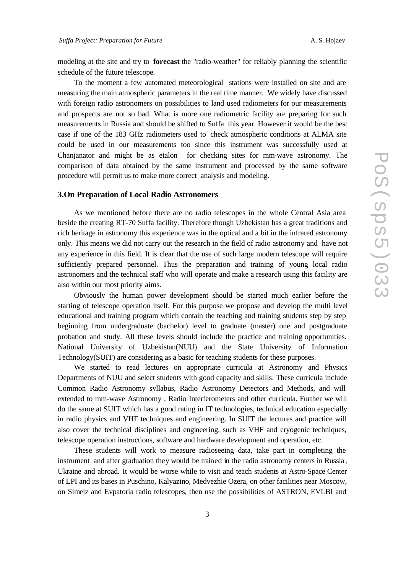modeling at the site and try to **forecast** the "radio-weather" for reliably planning the scientific schedule of the future telescope.

To the moment a few automated meteorological stations were installed on site and are measuring the main atmospheric parameters in the real time manner. We widely have discussed with foreign radio astronomers on possibilities to land used radiometers for our measurements and prospects are not so bad. What is more one radiometric facility are preparing for such measurements in Russia and should be shifted to Suffa this year. However it would be the best case if one of the 183 GHz radiometers used to check atmospheric conditions at ALMA site could be used in our measurements too since this instrument was successfully used at Chanjanator and might be as etalon for checking sites for mm-wave astronomy. The comparison of data obtained by the same instrument and processed by the same software procedure will permit us to make more correct analysis and modeling.

#### **3.On Preparation of Local Radio Astronomers**

As we mentioned before there are no radio telescopes in the whole Central Asia area beside the creating RT-70 Suffa facility. Therefore though Uzbekistan has a great traditions and rich heritage in astronomy this experience was in the optical and a bit in the infrared astronomy only. This means we did not carry out the research in the field of radio astronomy and have not any experience in this field. It is clear that the use of such large modern telescope will require sufficiently prepared personnel. Thus the preparation and training of young local radio astronomers and the technical staff who will operate and make a research using this facility are also within our most priority aims.

Obviously the human power development should be started much earlier before the starting of telescope operation itself. For this purpose we propose and develop the multi level educational and training program which contain the teaching and training students step by step beginning from undergraduate (bachelor) level to graduate (master) one and postgraduate probation and study. All these levels should include the practice and training opportunities. National University of Uzbekistan(NUU) and the State University of Information Technology(SUIT) are considering as a basic for teaching students for these purposes.

We started to read lectures on appropriate curricula at Astronomy and Physics Departments of NUU and select students with good capacity and skills. These curricula include Common Radio Astronomy syllabus, Radio Astronomy Detectors and Methods, and will extended to mm-wave Astronomy , Radio Interferometers and other curricula. Further we will do the same at SUIT which has a good rating in IT technologies, technical education especially in radio physics and VHF techniques and engineering. In SUIT the lectures and practice will also cover the technical disciplines and engineering, such as VHF and cryogenic techniques, telescope operation instructions, software and hardware development and operation, etc.

These students will work to measure radioseeing data, take part in completing the instrument and after graduation they would be trained in the radio astronomy centers in Russia , Ukraine and abroad. It would be worse while to visit and teach students at Astro-Space Center of LPI and its bases in Puschino, Kalyazino, Medvezhie Ozera, on other facilities near Moscow, on Simeiz and Evpatoria radio telescopes, then use the possibilities of ASTRON, EVLBI and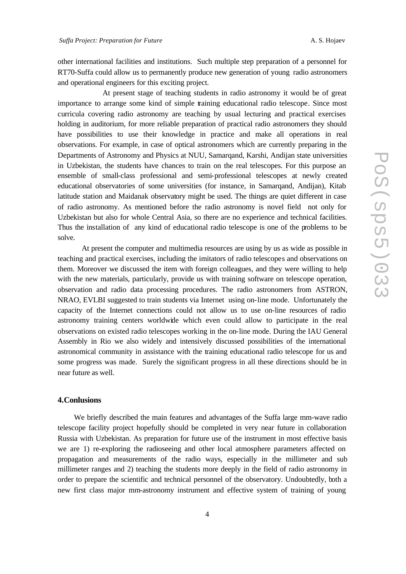other international facilities and institutions. Such multiple step preparation of a personnel for RT70-Suffa could allow us to permanently produce new generation of young radio astronomers and operational engineers for this exciting project.

 At present stage of teaching students in radio astronomy it would be of great importance to arrange some kind of simple training educational radio telescope. Since most curricula covering radio astronomy are teaching by usual lecturing and practical exercises holding in auditorium, for more reliable preparation of practical radio astronomers they should have possibilities to use their knowledge in practice and make all operations in real observations. For example, in case of optical astronomers which are currently preparing in the Departments of Astronomy and Physics at NUU, Samarqand, Karshi, Andijan state universities in Uzbekistan, the students have chances to train on the real telescopes. For this purpose an ensemble of small-class professional and semi-professional telescopes at newly created educational observatories of some universities (for instance, in Samarqand, Andijan), Kitab latitude station and Maidanak observatory might be used. The things are quiet different in case of radio astronomy. As mentioned before the radio astronomy is novel field not only for Uzbekistan but also for whole Central Asia, so there are no experience and technical facilities. Thus the installation of any kind of educational radio telescope is one of the problems to be solve.

At present the computer and multimedia resources are using by us as wide as possible in teaching and practical exercises, including the imitators of radio telescopes and observations on them. Moreover we discussed the item with foreign colleagues, and they were willing to help with the new materials, particularly, provide us with training software on telescope operation, observation and radio data processing procedures. The radio astronomers from ASTRON, NRAO, EVLBI suggested to train students via Internet using on-line mode. Unfortunately the capacity of the Internet connections could not allow us to use on-line resources of radio astronomy training centers worldwide which even could allow to participate in the real observations on existed radio telescopes working in the on-line mode. During the IAU General Assembly in Rio we also widely and intensively discussed possibilities of the international astronomical community in assistance with the training educational radio telescope for us and some progress was made. Surely the significant progress in all these directions should be in near future as well.

## **4.Conlusions**

We briefly described the main features and advantages of the Suffa large mm-wave radio telescope facility project hopefully should be completed in very near future in collaboration Russia with Uzbekistan. As preparation for future use of the instrument in most effective basis we are 1) re-exploring the radioseeing and other local atmosphere parameters affected on propagation and measurements of the radio ways, especially in the millimeter and sub millimeter ranges and 2) teaching the students more deeply in the field of radio astronomy in order to prepare the scientific and technical personnel of the observatory. Undoubtedly, both a new first class major mm-astronomy instrument and effective system of training of young